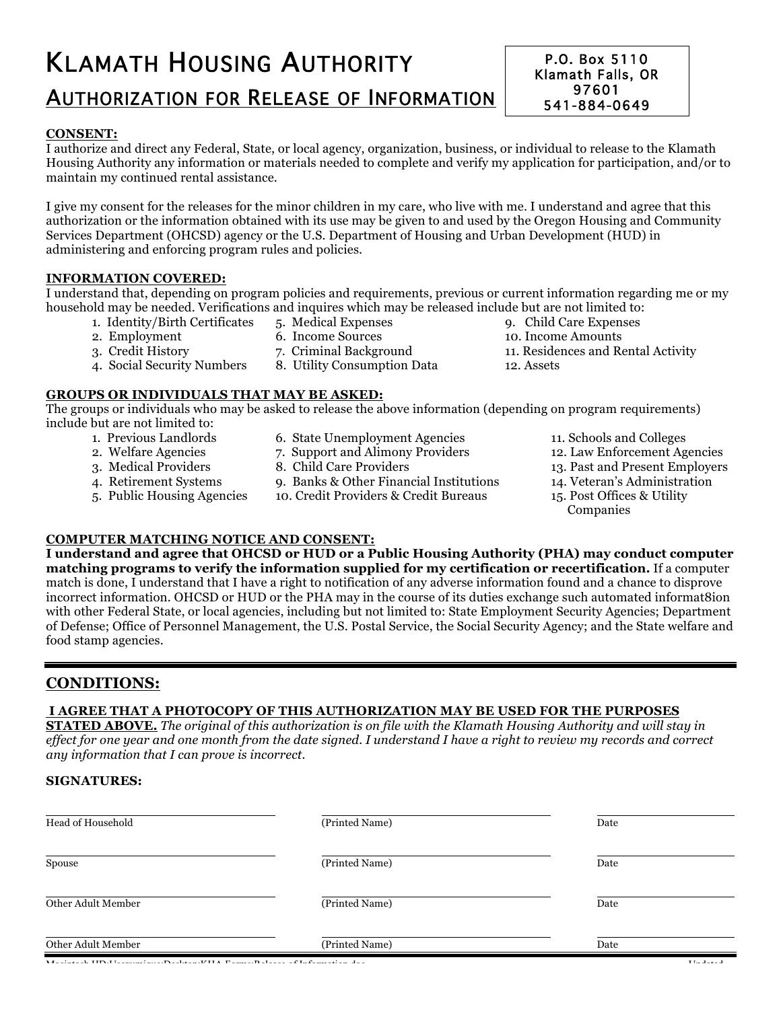# KLAMATH HOUSING AUTHORITY AUTHORIZATION FOR RELEASE OF INFORMATION

#### **CONSENT:**

I authorize and direct any Federal, State, or local agency, organization, business, or individual to release to the Klamath Housing Authority any information or materials needed to complete and verify my application for participation, and/or to maintain my continued rental assistance.

I give my consent for the releases for the minor children in my care, who live with me. I understand and agree that this authorization or the information obtained with its use may be given to and used by the Oregon Housing and Community Services Department (OHCSD) agency or the U.S. Department of Housing and Urban Development (HUD) in administering and enforcing program rules and policies.

#### **INFORMATION COVERED:**

I understand that, depending on program policies and requirements, previous or current information regarding me or my household may be needed. Verifications and inquires which may be released include but are not limited to:<br>1. Identity/Birth Certificates 5. Medical Expenses 9. Child Care Expenses

- 1. Identity/Birth Certificates 5. Medical Expenses 9. Child Care Expenses 2. Employment 6. Income Sources 10. Income Amounts
- 
- 
- 2. Employment 6. Income Sources 10. Income Amounts<br>
3. Credit History 7. Criminal Background 11. Residences and Re
- 3. Credit History 7. Criminal Background 11. Residences and Rental Activity<br>4. Social Security Numbers 8. Utility Consumption Data 12. Assets
	- 8. Utility Consumption Data 12. Assets

#### **GROUPS OR INDIVIDUALS THAT MAY BE ASKED:**

The groups or individuals who may be asked to release the above information (depending on program requirements) include but are not limited to:

- 
- 
- 
- -
	-
- 5. Public Housing Agencies 10. Credit Providers & Credit Bureaus 15. Post Offices & Utility
	-
- 1. Previous Landlords 6. State Unemployment Agencies 11. Schools and Colleges
- 2. Welfare Agencies 2. Support and Alimony Providers 12. Law Enforcement Agencies<br>12. Law Enforcement Agencies<br>13. Past and Present Employers
	- 3. Medical Providers 8. Child Care Providers 13. Past and Present Employers
- 4. Retirement Systems 9. Banks & Other Financial Institutions 14. Veteran's Administration
	-
	- Companies

#### **COMPUTER MATCHING NOTICE AND CONSENT:**

**I understand and agree that OHCSD or HUD or a Public Housing Authority (PHA) may conduct computer matching programs to verify the information supplied for my certification or recertification.** If a computer match is done, I understand that I have a right to notification of any adverse information found and a chance to disprove incorrect information. OHCSD or HUD or the PHA may in the course of its duties exchange such automated informat8ion with other Federal State, or local agencies, including but not limited to: State Employment Security Agencies; Department of Defense; Office of Personnel Management, the U.S. Postal Service, the Social Security Agency; and the State welfare and food stamp agencies.

## **CONDITIONS:**

### **I AGREE THAT A PHOTOCOPY OF THIS AUTHORIZATION MAY BE USED FOR THE PURPOSES**

**STATED ABOVE.** The original of this authorization is on file with the Klamath Housing Authority and will stay in effect for one year and one month from the date signed. I understand I have a right to review my records and correct *any information that I can prove is incorrect.*

#### **SIGNATURES:**

| Head of Household  | (Printed Name) | Date |
|--------------------|----------------|------|
| Spouse             | (Printed Name) | Date |
| Other Adult Member | (Printed Name) | Date |
| Other Adult Member | (Printed Name) | Date |

P.O. Box 5110 Klamath Falls, OR 97601 541-884-0649 Fax – 541-883-1568